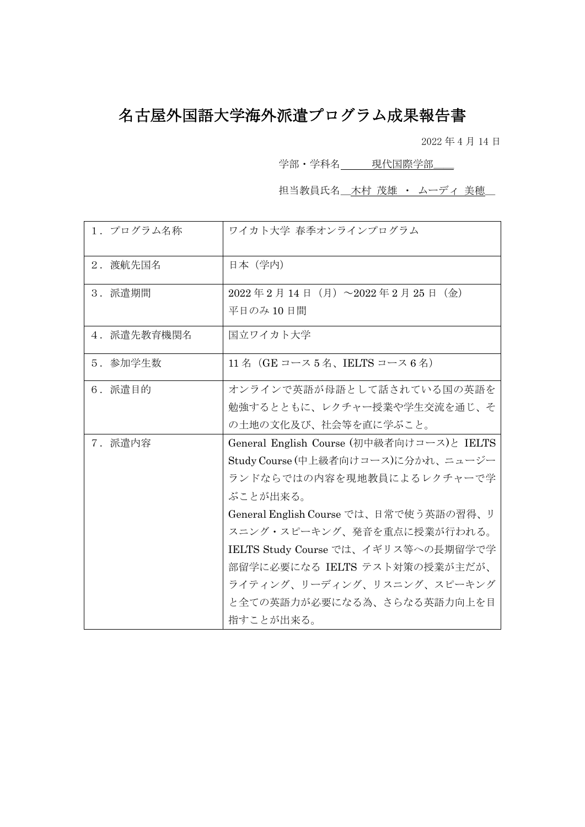## 名古屋外国語大学海外派遣プログラム成果報告書

2022 年 4 月 14 日

学部・学科名<br>
平凡代国際学部

担当教員氏名\_木村 茂雄 ・ ムーディ 美穂\_

| 1. プログラム名称  | ワイカト大学 春季オンラインプログラム                                                                                                                                                                                                                                                                                                                               |
|-------------|---------------------------------------------------------------------------------------------------------------------------------------------------------------------------------------------------------------------------------------------------------------------------------------------------------------------------------------------------|
| 2. 渡航先国名    | 日本 (学内)                                                                                                                                                                                                                                                                                                                                           |
| 3. 派遣期間     | 2022年2月14日 (月) ~2022年2月25日 (金)<br>平日のみ10日間                                                                                                                                                                                                                                                                                                        |
| 4. 派遣先教育機関名 | 国立ワイカト大学                                                                                                                                                                                                                                                                                                                                          |
| 5. 参加学生数    | 11名 (GE コース5名、IELTS コース6名)                                                                                                                                                                                                                                                                                                                        |
| 6. 派遣目的     | オンラインで英語が母語として話されている国の英語を<br>勉強するとともに、レクチャー授業や学生交流を通じ、そ<br>の土地の文化及び、社会等を直に学ぶこと。                                                                                                                                                                                                                                                                   |
| 7. 派遣内容     | General English Course (初中級者向けコース)と IELTS<br>Study Course (中上級者向けコース)に分かれ、ニュージー<br>ランドならではの内容を現地教員によるレクチャーで学<br>ぶことが出来る。<br>General English Course では、日常で使う英語の習得、リ<br>スニング・スピーキング、発音を重点に授業が行われる。<br>IELTS Study Course では、イギリス等への長期留学で学<br>部留学に必要になる IELTS テスト対策の授業が主だが、<br>ライティング、リーディング、リスニング、スピーキング<br>と全ての英語力が必要になる為、さらなる英語力向上を目<br>指すことが出来る。 |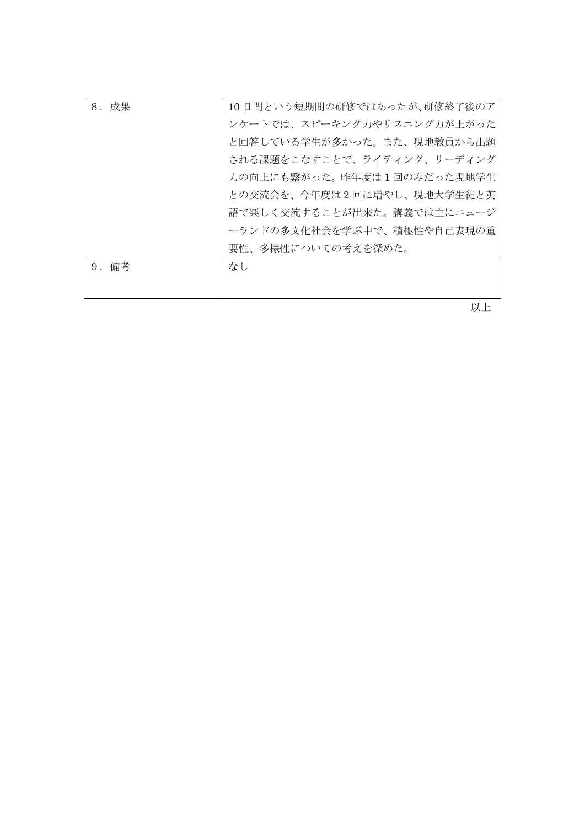| 8. 成果 | 10日間という短期間の研修ではあったが、研修終了後のア |
|-------|-----------------------------|
|       | ンケートでは、スピーキング力やリスニング力が上がった  |
|       | と回答している学生が多かった。また、現地教員から出題  |
|       | される課題をこなすことで、ライティング、リーディング  |
|       | 力の向上にも繋がった。昨年度は1回のみだった現地学生  |
|       | との交流会を、今年度は2回に増やし、現地大学生徒と英  |
|       | 語で楽しく交流することが出来た。講義では主にニュージ  |
|       | ーランドの多文化社会を学ぶ中で、積極性や自己表現の重  |
|       | 要性、多様性についての考えを深めた。          |
| 9. 備考 | なし                          |
|       |                             |

以上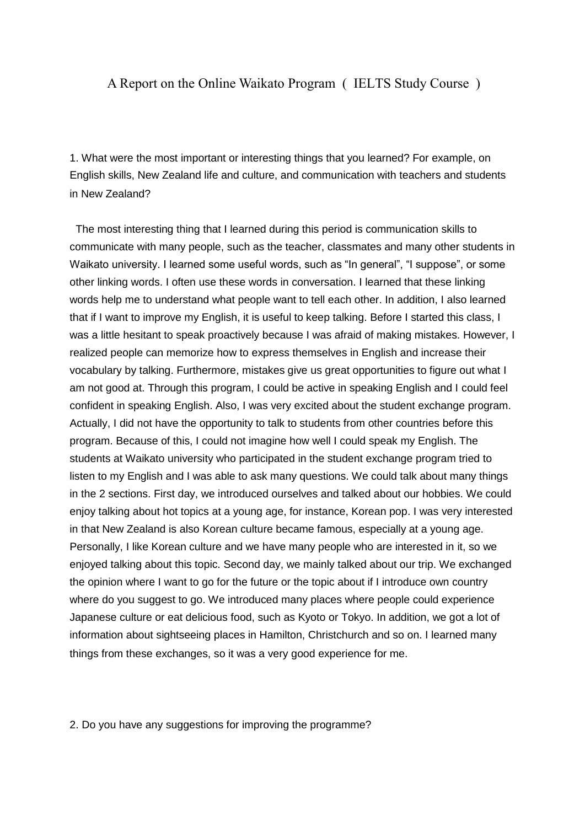## A Report on the Online Waikato Program ( IELTS Study Course )

1. What were the most important or interesting things that you learned? For example, on English skills, New Zealand life and culture, and communication with teachers and students in New Zealand?

The most interesting thing that I learned during this period is communication skills to communicate with many people, such as the teacher, classmates and many other students in Waikato university. I learned some useful words, such as "In general", "I suppose", or some other linking words. I often use these words in conversation. I learned that these linking words help me to understand what people want to tell each other. In addition, I also learned that if I want to improve my English, it is useful to keep talking. Before I started this class, I was a little hesitant to speak proactively because I was afraid of making mistakes. However, I realized people can memorize how to express themselves in English and increase their vocabulary by talking. Furthermore, mistakes give us great opportunities to figure out what I am not good at. Through this program, I could be active in speaking English and I could feel confident in speaking English. Also, I was very excited about the student exchange program. Actually, I did not have the opportunity to talk to students from other countries before this program. Because of this, I could not imagine how well I could speak my English. The students at Waikato university who participated in the student exchange program tried to listen to my English and I was able to ask many questions. We could talk about many things in the 2 sections. First day, we introduced ourselves and talked about our hobbies. We could enjoy talking about hot topics at a young age, for instance, Korean pop. I was very interested in that New Zealand is also Korean culture became famous, especially at a young age. Personally, I like Korean culture and we have many people who are interested in it, so we enjoyed talking about this topic. Second day, we mainly talked about our trip. We exchanged the opinion where I want to go for the future or the topic about if I introduce own country where do you suggest to go. We introduced many places where people could experience Japanese culture or eat delicious food, such as Kyoto or Tokyo. In addition, we got a lot of information about sightseeing places in Hamilton, Christchurch and so on. I learned many things from these exchanges, so it was a very good experience for me.

2. Do you have any suggestions for improving the programme?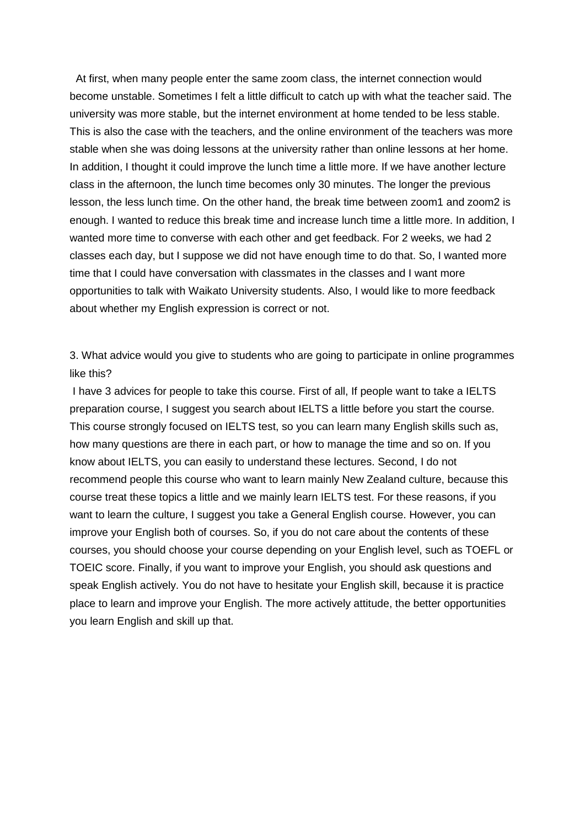At first, when many people enter the same zoom class, the internet connection would become unstable. Sometimes I felt a little difficult to catch up with what the teacher said. The university was more stable, but the internet environment at home tended to be less stable. This is also the case with the teachers, and the online environment of the teachers was more stable when she was doing lessons at the university rather than online lessons at her home. In addition, I thought it could improve the lunch time a little more. If we have another lecture class in the afternoon, the lunch time becomes only 30 minutes. The longer the previous lesson, the less lunch time. On the other hand, the break time between zoom1 and zoom2 is enough. I wanted to reduce this break time and increase lunch time a little more. In addition, I wanted more time to converse with each other and get feedback. For 2 weeks, we had 2 classes each day, but I suppose we did not have enough time to do that. So, I wanted more time that I could have conversation with classmates in the classes and I want more opportunities to talk with Waikato University students. Also, I would like to more feedback about whether my English expression is correct or not.

3. What advice would you give to students who are going to participate in online programmes like this?

I have 3 advices for people to take this course. First of all, If people want to take a IELTS preparation course, I suggest you search about IELTS a little before you start the course. This course strongly focused on IELTS test, so you can learn many English skills such as, how many questions are there in each part, or how to manage the time and so on. If you know about IELTS, you can easily to understand these lectures. Second, I do not recommend people this course who want to learn mainly New Zealand culture, because this course treat these topics a little and we mainly learn IELTS test. For these reasons, if you want to learn the culture, I suggest you take a General English course. However, you can improve your English both of courses. So, if you do not care about the contents of these courses, you should choose your course depending on your English level, such as TOEFL or TOEIC score. Finally, if you want to improve your English, you should ask questions and speak English actively. You do not have to hesitate your English skill, because it is practice place to learn and improve your English. The more actively attitude, the better opportunities you learn English and skill up that.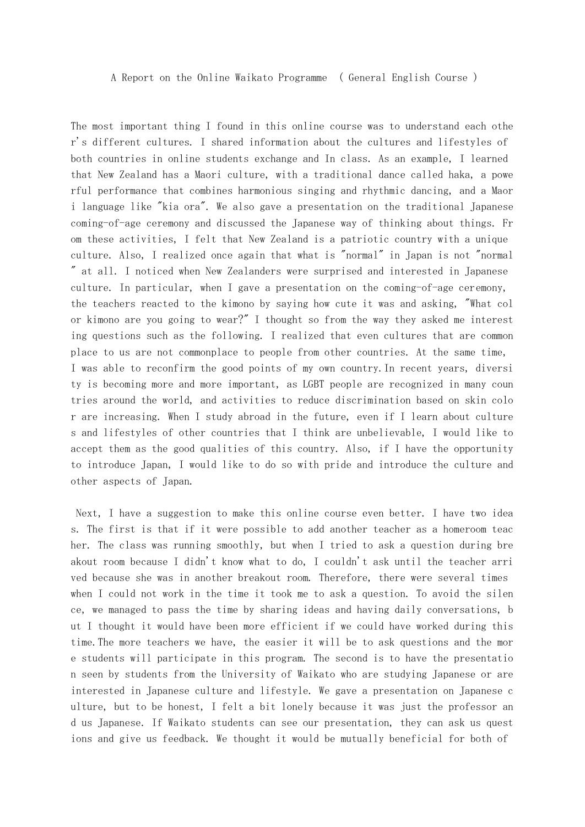## A Report on the Online Waikato Programme ( General English Course )

The most important thing I found in this online course was to understand each othe r's different cultures. I shared information about the cultures and lifestyles of both countries in online students exchange and In class. As an example, I learned that New Zealand has a Maori culture, with a traditional dance called haka, a powe rful performance that combines harmonious singing and rhythmic dancing, and a Maor i language like "kia ora". We also gave a presentation on the traditional Japanese coming-of-age ceremony and discussed the Japanese way of thinking about things. Fr om these activities, I felt that New Zealand is a patriotic country with a unique culture. Also, I realized once again that what is "normal" in Japan is not "normal " at all. I noticed when New Zealanders were surprised and interested in Japanese culture. In particular, when I gave a presentation on the coming-of-age ceremony, the teachers reacted to the kimono by saying how cute it was and asking, "What col or kimono are you going to wear?" I thought so from the way they asked me interest ing questions such as the following. I realized that even cultures that are common place to us are not commonplace to people from other countries. At the same time, I was able to reconfirm the good points of my own country.In recent years, diversi ty is becoming more and more important, as LGBT people are recognized in many coun tries around the world, and activities to reduce discrimination based on skin colo r are increasing. When I study abroad in the future, even if I learn about culture s and lifestyles of other countries that I think are unbelievable, I would like to accept them as the good qualities of this country. Also, if I have the opportunity to introduce Japan, I would like to do so with pride and introduce the culture and other aspects of Japan.

 Next, I have a suggestion to make this online course even better. I have two idea s. The first is that if it were possible to add another teacher as a homeroom teac her. The class was running smoothly, but when I tried to ask a question during bre akout room because I didn't know what to do, I couldn't ask until the teacher arri ved because she was in another breakout room. Therefore, there were several times when I could not work in the time it took me to ask a question. To avoid the silen ce, we managed to pass the time by sharing ideas and having daily conversations, b ut I thought it would have been more efficient if we could have worked during this time.The more teachers we have, the easier it will be to ask questions and the mor e students will participate in this program. The second is to have the presentatio n seen by students from the University of Waikato who are studying Japanese or are interested in Japanese culture and lifestyle. We gave a presentation on Japanese c ulture, but to be honest, I felt a bit lonely because it was just the professor an d us Japanese. If Waikato students can see our presentation, they can ask us quest ions and give us feedback. We thought it would be mutually beneficial for both of